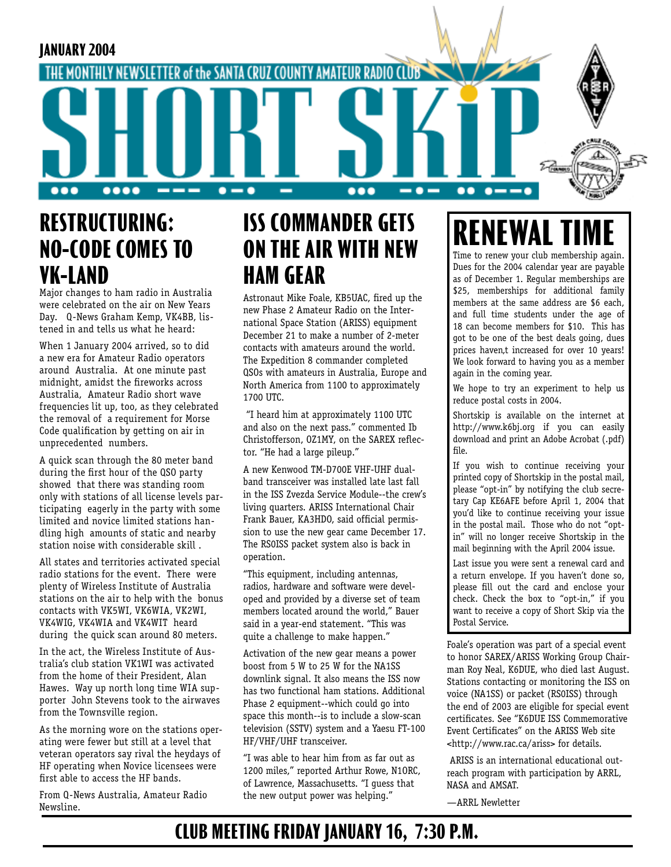

### **RESTRUCTURING: NO-CODE COMES TO VK-LAND**

Major changes to ham radio in Australia were celebrated on the air on New Years Day. Q-News Graham Kemp, VK4BB, listened in and tells us what he heard:

When 1 January 2004 arrived, so to did a new era for Amateur Radio operators around Australia. At one minute past midnight, amidst the fireworks across Australia, Amateur Radio short wave frequencies lit up, too, as they celebrated the removal of a requirement for Morse Code qualification by getting on air in unprecedented numbers.

A quick scan through the 80 meter band during the first hour of the QSO party showed that there was standing room only with stations of all license levels participating eagerly in the party with some limited and novice limited stations handling high amounts of static and nearby station noise with considerable skill .

All states and territories activated special radio stations for the event. There were plenty of Wireless Institute of Australia stations on the air to help with the bonus contacts with VK5WI, VK6WIA, VK2WI, VK4WIG, VK4WIA and VK4WIT heard during the quick scan around 80 meters.

In the act, the Wireless Institute of Australia's club station VK1WI was activated from the home of their President, Alan Hawes. Way up north long time WIA supporter John Stevens took to the airwaves from the Townsville region.

As the morning wore on the stations operating were fewer but still at a level that veteran operators say rival the heydays of HF operating when Novice licensees were first able to access the HF bands.

From Q-News Australia, Amateur Radio Newsline.

## **ISS COMMANDER GETS ON THE AIR WITH NEW HAM GEAR**

Astronaut Mike Foale, KB5UAC, fired up the new Phase 2 Amateur Radio on the International Space Station (ARISS) equipment December 21 to make a number of 2-meter contacts with amateurs around the world. The Expedition 8 commander completed QSOs with amateurs in Australia, Europe and North America from 1100 to approximately 1700 UTC.

 "I heard him at approximately 1100 UTC and also on the next pass." commented Ib Christofferson, OZ1MY, on the SAREX reflector. "He had a large pileup."

A new Kenwood TM-D700E VHF-UHF dualband transceiver was installed late last fall in the ISS Zvezda Service Module--the crew's living quarters. ARISS International Chair Frank Bauer, KA3HDO, said official permission to use the new gear came December 17. The RS0ISS packet system also is back in operation.

"This equipment, including antennas, radios, hardware and software were developed and provided by a diverse set of team members located around the world," Bauer said in a year-end statement. "This was quite a challenge to make happen."

Activation of the new gear means a power boost from 5 W to 25 W for the NA1SS downlink signal. It also means the ISS now has two functional ham stations. Additional Phase 2 equipment--which could go into space this month--is to include a slow-scan television (SSTV) system and a Yaesu FT-100 HF/VHF/UHF transceiver.

"I was able to hear him from as far out as 1200 miles," reported Arthur Rowe, N1ORC, of Lawrence, Massachusetts. "I guess that the new output power was helping."

# **RENEWAL**

Time to renew your club membership again. Dues for the 2004 calendar year are payable as of December 1. Regular memberships are \$25, memberships for additional family members at the same address are \$6 each, and full time students under the age of 18 can become members for \$10. This has got to be one of the best deals going, dues prices haven,t increased for over 10 years! We look forward to having you as a member again in the coming year.

We hope to try an experiment to help us reduce postal costs in 2004.

Shortskip is available on the internet at http://www.k6bj.org if you can easily download and print an Adobe Acrobat (.pdf) file.

If you wish to continue receiving your printed copy of Shortskip in the postal mail, please "opt-in" by notifying the club secretary Cap KE6AFE before April 1, 2004 that you'd like to continue receiving your issue in the postal mail. Those who do not "optin" will no longer receive Shortskip in the mail beginning with the April 2004 issue.

Last issue you were sent a renewal card and a return envelope. If you haven't done so, please fill out the card and enclose your check. Check the box to "opt-in," if you want to receive a copy of Short Skip via the Postal Service.

Foale's operation was part of a special event to honor SAREX/ARISS Working Group Chairman Roy Neal, K6DUE, who died last August. Stations contacting or monitoring the ISS on voice (NA1SS) or packet (RS0ISS) through the end of 2003 are eligible for special event certificates. See "K6DUE ISS Commemorative Event Certificates" on the ARISS Web site <http://www.rac.ca/ariss> for details.

 ARISS is an international educational outreach program with participation by ARRL, NASA and AMSAT.

—ARRL Newletter

#### **CLUB MEETING FRIDAY JANUARY 16, 7:30 P.M.**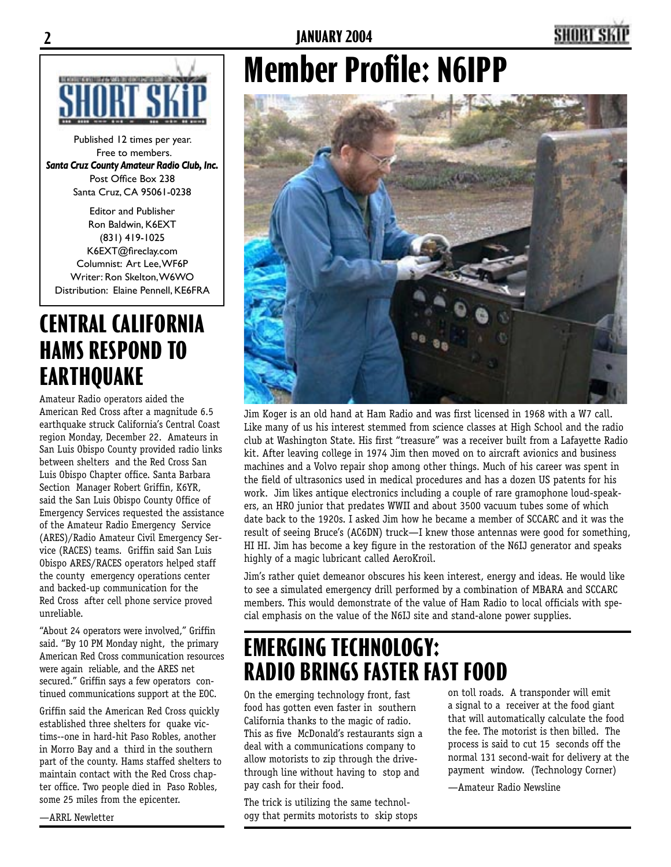



Published 12 times per year. Free to members. *Santa Cruz County Amateur Radio Club, Inc.* Post Office Box 238 Santa Cruz, CA 95061-0238

Editor and Publisher Ron Baldwin, K6EXT (831) 419-1025 K6EXT@fireclay.com Columnist: Art Lee, WF6P Writer: Ron Skelton, W6WO Distribution: Elaine Pennell, KE6FRA

### **CENTRAL CALIFORNIA HAMS RESPOND TO EARTHQUAKE**

Amateur Radio operators aided the American Red Cross after a magnitude 6.5 earthquake struck California's Central Coast region Monday, December 22. Amateurs in San Luis Obispo County provided radio links between shelters and the Red Cross San Luis Obispo Chapter office. Santa Barbara Section Manager Robert Griffin, K6YR, said the San Luis Obispo County Office of Emergency Services requested the assistance of the Amateur Radio Emergency Service (ARES)/Radio Amateur Civil Emergency Service (RACES) teams. Griffin said San Luis Obispo ARES/RACES operators helped staff the county emergency operations center and backed-up communication for the Red Cross after cell phone service proved unreliable.

"About 24 operators were involved," Griffin said. "By 10 PM Monday night, the primary American Red Cross communication resources were again reliable, and the ARES net secured." Griffin says a few operators continued communications support at the EOC.

Griffin said the American Red Cross quickly established three shelters for quake victims--one in hard-hit Paso Robles, another in Morro Bay and a third in the southern part of the county. Hams staffed shelters to maintain contact with the Red Cross chapter office. Two people died in Paso Robles, some 25 miles from the epicenter.

# **Member Profile: N6IPP**



Jim Koger is an old hand at Ham Radio and was first licensed in 1968 with a W7 call. Like many of us his interest stemmed from science classes at High School and the radio club at Washington State. His first "treasure" was a receiver built from a Lafayette Radio kit. After leaving college in 1974 Jim then moved on to aircraft avionics and business machines and a Volvo repair shop among other things. Much of his career was spent in the field of ultrasonics used in medical procedures and has a dozen US patents for his work. Jim likes antique electronics including a couple of rare gramophone loud-speakers, an HRO junior that predates WWII and about 3500 vacuum tubes some of which date back to the 1920s. I asked Jim how he became a member of SCCARC and it was the result of seeing Bruce's (AC6DN) truck—I knew those antennas were good for something, HI HI. Jim has become a key figure in the restoration of the N6IJ generator and speaks highly of a magic lubricant called AeroKroil.

Jim's rather quiet demeanor obscures his keen interest, energy and ideas. He would like to see a simulated emergency drill performed by a combination of MBARA and SCCARC members. This would demonstrate of the value of Ham Radio to local officials with special emphasis on the value of the N6IJ site and stand-alone power supplies.

## **EMERGING TECHNOLOGY: RADIO BRINGS FASTER FAST FOOD**

On the emerging technology front, fast food has gotten even faster in southern California thanks to the magic of radio. This as five McDonald's restaurants sign a deal with a communications company to allow motorists to zip through the drivethrough line without having to stop and pay cash for their food.

The trick is utilizing the same technology that permits motorists to skip stops on toll roads. A transponder will emit a signal to a receiver at the food giant that will automatically calculate the food the fee. The motorist is then billed. The process is said to cut 15 seconds off the normal 131 second-wait for delivery at the payment window. (Technology Corner)

—Amateur Radio Newsline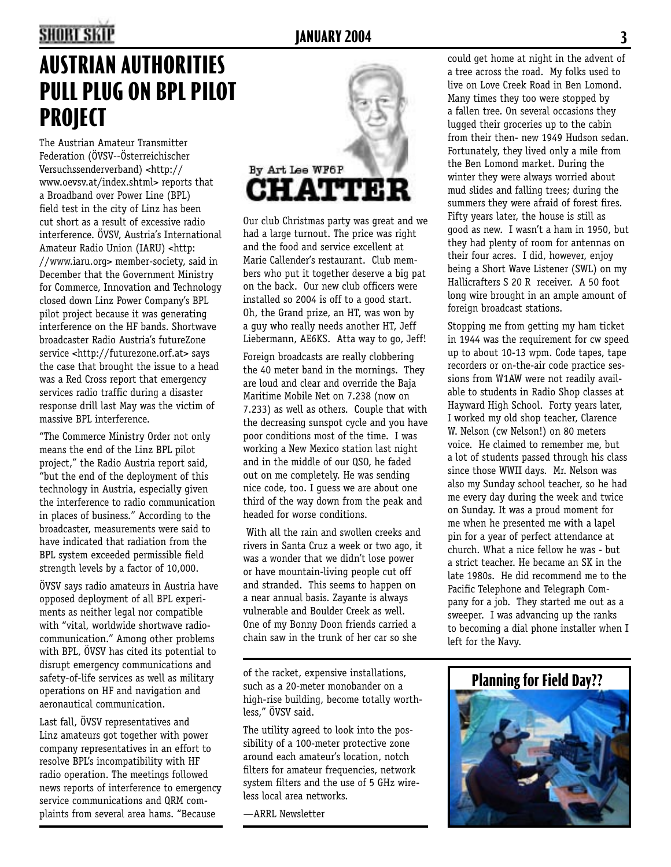## **2 JANUARY 2004 3**

# **AUSTRIAN AUTHORITIES PULL PLUG ON BPL PILOT PROJECT**

The Austrian Amateur Transmitter Federation (ÖVSV--Österreichischer Versuchssenderverband) <http:// www.oevsv.at/index.shtml> reports that a Broadband over Power Line (BPL) field test in the city of Linz has been cut short as a result of excessive radio interference. ÖVSV, Austria's International Amateur Radio Union (IARU) <http: //www.iaru.org> member-society, said in December that the Government Ministry for Commerce, Innovation and Technology closed down Linz Power Company's BPL pilot project because it was generating interference on the HF bands. Shortwave broadcaster Radio Austria's futureZone service <http://futurezone.orf.at> says the case that brought the issue to a head was a Red Cross report that emergency services radio traffic during a disaster response drill last May was the victim of massive BPL interference.

"The Commerce Ministry Order not only means the end of the Linz BPL pilot project," the Radio Austria report said, "but the end of the deployment of this technology in Austria, especially given the interference to radio communication in places of business." According to the broadcaster, measurements were said to have indicated that radiation from the BPL system exceeded permissible field strength levels by a factor of 10,000.

ÖVSV says radio amateurs in Austria have opposed deployment of all BPL experiments as neither legal nor compatible with "vital, worldwide shortwave radiocommunication." Among other problems with BPL, ÖVSV has cited its potential to disrupt emergency communications and safety-of-life services as well as military operations on HF and navigation and aeronautical communication.

Last fall, ÖVSV representatives and Linz amateurs got together with power company representatives in an effort to resolve BPL's incompatibility with HF radio operation. The meetings followed news reports of interference to emergency service communications and QRM complaints from several area hams. "Because



Our club Christmas party was great and we had a large turnout. The price was right and the food and service excellent at Marie Callender's restaurant. Club members who put it together deserve a big pat on the back. Our new club officers were installed so 2004 is off to a good start. Oh, the Grand prize, an HT, was won by a guy who really needs another HT, Jeff Liebermann, AE6KS. Atta way to go, Jeff!

Foreign broadcasts are really clobbering the 40 meter band in the mornings. They are loud and clear and override the Baja Maritime Mobile Net on 7.238 (now on 7.233) as well as others. Couple that with the decreasing sunspot cycle and you have poor conditions most of the time. I was working a New Mexico station last night and in the middle of our QSO, he faded out on me completely. He was sending nice code, too. I guess we are about one third of the way down from the peak and headed for worse conditions.

 With all the rain and swollen creeks and rivers in Santa Cruz a week or two ago, it was a wonder that we didn't lose power or have mountain-living people cut off and stranded. This seems to happen on a near annual basis. Zayante is always vulnerable and Boulder Creek as well. One of my Bonny Doon friends carried a chain saw in the trunk of her car so she

of the racket, expensive installations, such as a 20-meter monobander on a high-rise building, become totally worthless," ÖVSV said.

The utility agreed to look into the possibility of a 100-meter protective zone around each amateur's location, notch filters for amateur frequencies, network system filters and the use of 5 GHz wireless local area networks.

—ARRL Newsletter

could get home at night in the advent of a tree across the road. My folks used to live on Love Creek Road in Ben Lomond. Many times they too were stopped by a fallen tree. On several occasions they lugged their groceries up to the cabin from their then- new 1949 Hudson sedan. Fortunately, they lived only a mile from the Ben Lomond market. During the winter they were always worried about mud slides and falling trees; during the summers they were afraid of forest fires. Fifty years later, the house is still as good as new. I wasn't a ham in 1950, but they had plenty of room for antennas on their four acres. I did, however, enjoy being a Short Wave Listener (SWL) on my Hallicrafters S 20 R receiver. A 50 foot long wire brought in an ample amount of foreign broadcast stations.

Stopping me from getting my ham ticket in 1944 was the requirement for cw speed up to about 10-13 wpm. Code tapes, tape recorders or on-the-air code practice sessions from W1AW were not readily available to students in Radio Shop classes at Hayward High School. Forty years later, I worked my old shop teacher, Clarence W. Nelson (cw Nelson!) on 80 meters voice. He claimed to remember me, but a lot of students passed through his class since those WWII days. Mr. Nelson was also my Sunday school teacher, so he had me every day during the week and twice on Sunday. It was a proud moment for me when he presented me with a lapel pin for a year of perfect attendance at church. What a nice fellow he was - but a strict teacher. He became an SK in the late 1980s. He did recommend me to the Pacific Telephone and Telegraph Company for a job. They started me out as a sweeper. I was advancing up the ranks to becoming a dial phone installer when I left for the Navy.